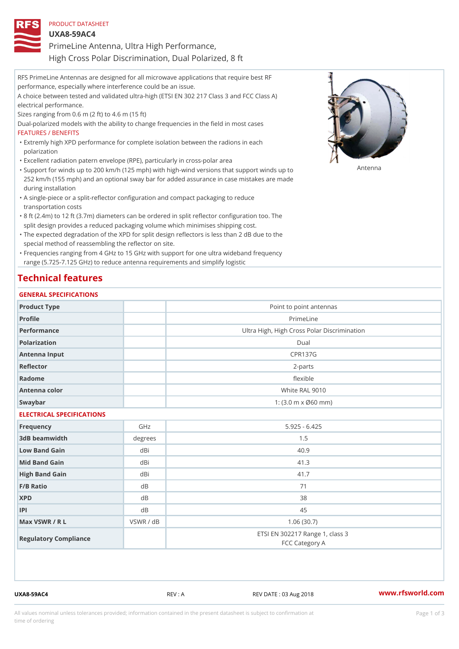| PRODUCT DATASHEET                                     |
|-------------------------------------------------------|
| $UXA8-59AC4$                                          |
| PrimeLine Antenna, Ultra High Performance,            |
| High Cross Polar Discrimination, Dual Polarized, 8 ft |

RFS PrimeLine Antennas are designed for all microwave applications that require best RF performance, especially where interference could be an issue. A choice between tested and validated ultra-high (ETSI EN 302 217 Class 3 and FCC Class A) electrical performance. Sizes ranging from 0.6 m (2 ft) to 4.6 m (15 ft) Dual-polarized models with the ability to change frequencies in the field in most cases FEATURES / BENEFITS Extremly high XPD performance for complete isolation between the radions in each " polarization "Excellent radiation patern envelope (RPE), particularly in cross-polar area "Support for winds up to 200 km/h (125 mph) with high-wind versions that support for wands up to 252 km/h (155 mph) and an optional sway bar for added assurance in case mistakes are made during installation

- A single-piece or a split-reflector configuration and compact packaging to reduce " transportation costs
- 8 ft (2.4m) to 12 ft (3.7m) diameters can be ordered in split reflector configuration too. The " split design provides a reduced packaging volume which minimises shipping cost.
- "The expected degradation of the XPD for split design reflectors is less than 2 dB due to the special method of reassembling the reflector on site.

Frequencies ranging from 4 GHz to 15 GHz with support for one ultra wideband frequency " range (5.725-7.125 GHz) to reduce antenna requirements and simplify logistic

## Technical features

#### GENERAL SPECIFICATIONS

| Product Type              |           | Point to point antennas                                 |  |  |  |
|---------------------------|-----------|---------------------------------------------------------|--|--|--|
| Profile                   |           | PrimeLine                                               |  |  |  |
| Performance               |           | Ultra High, High Cross Polar Discrimination             |  |  |  |
| Polarization              |           | Dual                                                    |  |  |  |
| Antenna Input             |           | <b>CPR137G</b>                                          |  |  |  |
| Reflector                 |           | $2 - p$ arts                                            |  |  |  |
| Radome                    |           | flexible                                                |  |  |  |
| Antenna color             |           | White RAL 9010                                          |  |  |  |
| Swaybar                   |           | 1: $(3.0 \, \text{m} \times \emptyset 60 \, \text{mm})$ |  |  |  |
| ELECTRICAL SPECIFICATIONS |           |                                                         |  |  |  |
| Frequency                 | GHz       | $5.925 - 6.425$                                         |  |  |  |
| 3dB beamwidth             | degrees   | 1.5                                                     |  |  |  |
| Low Band Gain             | dBi       | 40.9                                                    |  |  |  |
| Mid Band Gain             | dBi       | 41.3                                                    |  |  |  |
| High Band Gain            | dBi       | 41.7                                                    |  |  |  |
| F/B Ratio                 | d B       | 71                                                      |  |  |  |
| <b>XPD</b>                | d B       | 38                                                      |  |  |  |
| P                         | d B       | 45                                                      |  |  |  |
| Max VSWR / R L            | VSWR / dB | 1.06(30.7)                                              |  |  |  |
| Regulatory Compliance     |           | ETSI EN 302217 Range 1, class 3<br>FCC Category A       |  |  |  |

UXA8-59AC4 REV : A REV DATE : 03 Aug 2018 [www.](https://www.rfsworld.com)rfsworld.com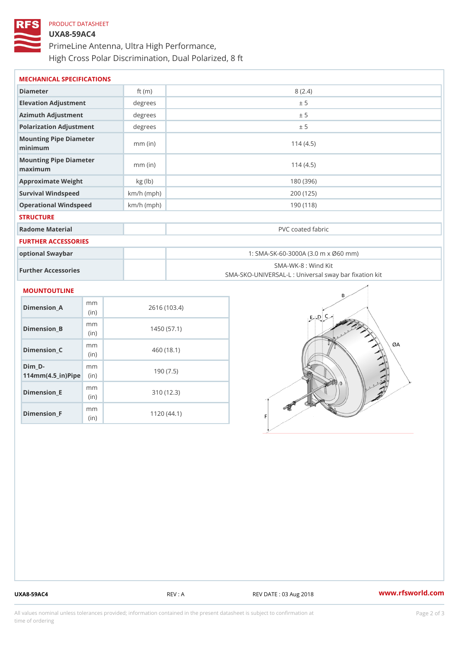# PRODUCT DATASHEET UXA8-59AC4 PrimeLine Antenna, Ultra High Performance, High Cross Polar Discrimination, Dual Polarized, 8 ft

| MECHANICAL SPECIFICATIONS               |              |                                                                          |  |  |
|-----------------------------------------|--------------|--------------------------------------------------------------------------|--|--|
| Diameter                                | ft $(m)$     | 8(2.4)                                                                   |  |  |
| Elevation Adjustment                    | degree       | ± 5                                                                      |  |  |
| Azimuth Adjustment                      | degree:      | ± 5                                                                      |  |  |
| Polarization Adjustment                 | degrees      | ± 5                                                                      |  |  |
| Mounting Pipe Diameter<br>minimum       | $mm$ (in)    | 114(4.5)                                                                 |  |  |
| Mounting Pipe Diameter<br>maximum       | $mm$ (in)    | 114(4.5)                                                                 |  |  |
| Approximate Weight                      | kg (lb)      | 180 (396)                                                                |  |  |
| Survival Windspeed                      | $km/h$ (mph) | 200 (125)                                                                |  |  |
| Operational Windspeed                   | $km/h$ (mph) | 190 (118)                                                                |  |  |
| <b>STRUCTURE</b>                        |              |                                                                          |  |  |
| Radome Material                         |              | PVC coated fabric                                                        |  |  |
| FURTHER ACCESSORIES                     |              |                                                                          |  |  |
| optional Swaybar                        |              | 1: SMA-SK-60-3000A (3.0 m x Ø60 mm)                                      |  |  |
| Further Accessories                     |              | SMA-WK-8 : Wind Kit<br>SMA-SKO-UNIVERSAL-L : Universal sway bar fixation |  |  |
| MOUNTOUTLINE                            |              |                                                                          |  |  |
| m <sub>m</sub><br>$Dimension_A$<br>(in) |              | 2616 (103.4)                                                             |  |  |
| m m<br>Dimension B<br>(in)              |              | 1450(57.1)                                                               |  |  |
| m m<br>$Dimension_C$<br>1:n             |              | 460 (18.1)                                                               |  |  |

(in)

mm

mm (in)

m<sub>m</sub> (in)

 $Dim_D -$ 

Dimension\_E

Dimension\_F

 $114$  m m (4.5 \_ i r )  $\sqrt{$  ii p  $\ge$ 

190 (7.5)

310 (12.3)

1120 (44.1)

UXA8-59AC4 REV : A REV DATE : 03 Aug 2018 WWW.rfsworld.com